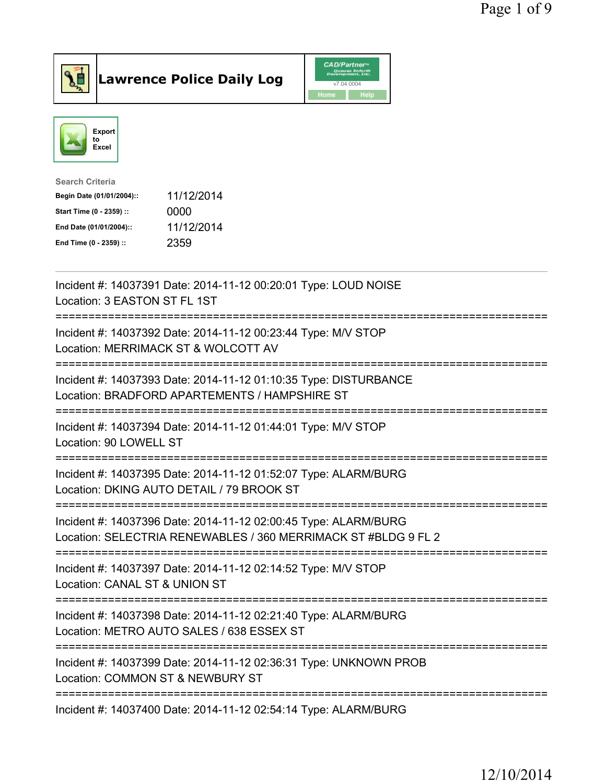



| Search Criteria           |            |
|---------------------------|------------|
| Begin Date (01/01/2004):: | 11/12/2014 |
| Start Time (0 - 2359) ::  | 0000       |
| End Date (01/01/2004)::   | 11/12/2014 |
| End Time (0 - 2359) ::    | 2359       |
|                           |            |

| Incident #: 14037391 Date: 2014-11-12 00:20:01 Type: LOUD NOISE<br>Location: 3 EASTON ST FL 1ST                                             |
|---------------------------------------------------------------------------------------------------------------------------------------------|
| Incident #: 14037392 Date: 2014-11-12 00:23:44 Type: M/V STOP<br>Location: MERRIMACK ST & WOLCOTT AV<br>--------------                      |
| Incident #: 14037393 Date: 2014-11-12 01:10:35 Type: DISTURBANCE<br>Location: BRADFORD APARTEMENTS / HAMPSHIRE ST<br>==================     |
| Incident #: 14037394 Date: 2014-11-12 01:44:01 Type: M/V STOP<br>Location: 90 LOWELL ST<br>-----------------                                |
| Incident #: 14037395 Date: 2014-11-12 01:52:07 Type: ALARM/BURG<br>Location: DKING AUTO DETAIL / 79 BROOK ST<br>--------------------------- |
| Incident #: 14037396 Date: 2014-11-12 02:00:45 Type: ALARM/BURG<br>Location: SELECTRIA RENEWABLES / 360 MERRIMACK ST #BLDG 9 FL 2           |
| Incident #: 14037397 Date: 2014-11-12 02:14:52 Type: M/V STOP<br>Location: CANAL ST & UNION ST                                              |
| Incident #: 14037398 Date: 2014-11-12 02:21:40 Type: ALARM/BURG<br>Location: METRO AUTO SALES / 638 ESSEX ST                                |
| -----------------------------<br>Incident #: 14037399 Date: 2014-11-12 02:36:31 Type: UNKNOWN PROB<br>Location: COMMON ST & NEWBURY ST      |
| Incident #: 14037400 Date: 2014-11-12 02:54:14 Type: ALARM/BURG                                                                             |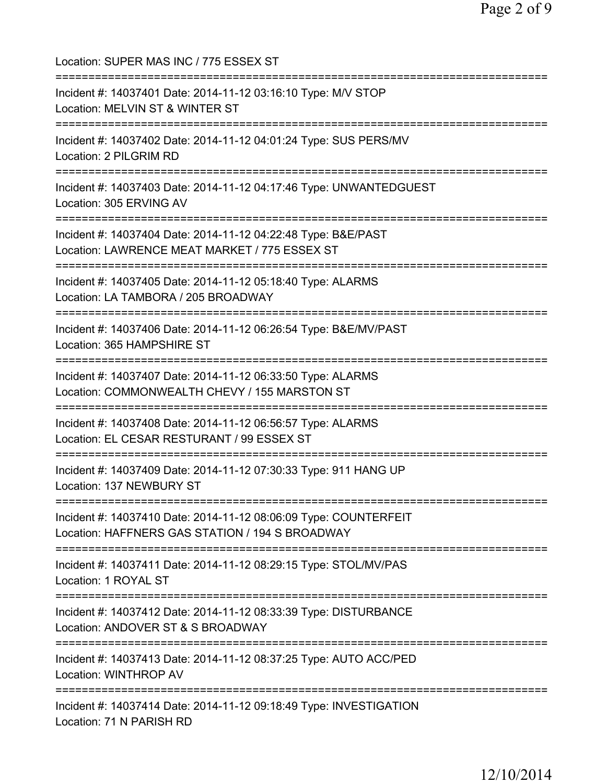Location: SUPER MAS INC / 775 ESSEX ST =========================================================================== Incident #: 14037401 Date: 2014-11-12 03:16:10 Type: M/V STOP Location: MELVIN ST & WINTER ST =========================================================================== Incident #: 14037402 Date: 2014-11-12 04:01:24 Type: SUS PERS/MV Location: 2 PILGRIM RD =========================================================================== Incident #: 14037403 Date: 2014-11-12 04:17:46 Type: UNWANTEDGUEST Location: 305 ERVING AV =========================================================================== Incident #: 14037404 Date: 2014-11-12 04:22:48 Type: B&E/PAST Location: LAWRENCE MEAT MARKET / 775 ESSEX ST =========================================================================== Incident #: 14037405 Date: 2014-11-12 05:18:40 Type: ALARMS Location: LA TAMBORA / 205 BROADWAY =========================================================================== Incident #: 14037406 Date: 2014-11-12 06:26:54 Type: B&E/MV/PAST Location: 365 HAMPSHIRE ST =========================================================================== Incident #: 14037407 Date: 2014-11-12 06:33:50 Type: ALARMS Location: COMMONWEALTH CHEVY / 155 MARSTON ST =========================================================================== Incident #: 14037408 Date: 2014-11-12 06:56:57 Type: ALARMS Location: EL CESAR RESTURANT / 99 ESSEX ST =========================================================================== Incident #: 14037409 Date: 2014-11-12 07:30:33 Type: 911 HANG UP Location: 137 NEWBURY ST =========================================================================== Incident #: 14037410 Date: 2014-11-12 08:06:09 Type: COUNTERFEIT Location: HAFFNERS GAS STATION / 194 S BROADWAY =========================================================================== Incident #: 14037411 Date: 2014-11-12 08:29:15 Type: STOL/MV/PAS Location: 1 ROYAL ST =========================================================================== Incident #: 14037412 Date: 2014-11-12 08:33:39 Type: DISTURBANCE Location: ANDOVER ST & S BROADWAY =========================================================================== Incident #: 14037413 Date: 2014-11-12 08:37:25 Type: AUTO ACC/PED Location: WINTHROP AV =========================================================================== Incident #: 14037414 Date: 2014-11-12 09:18:49 Type: INVESTIGATION Location: 71 N PARISH RD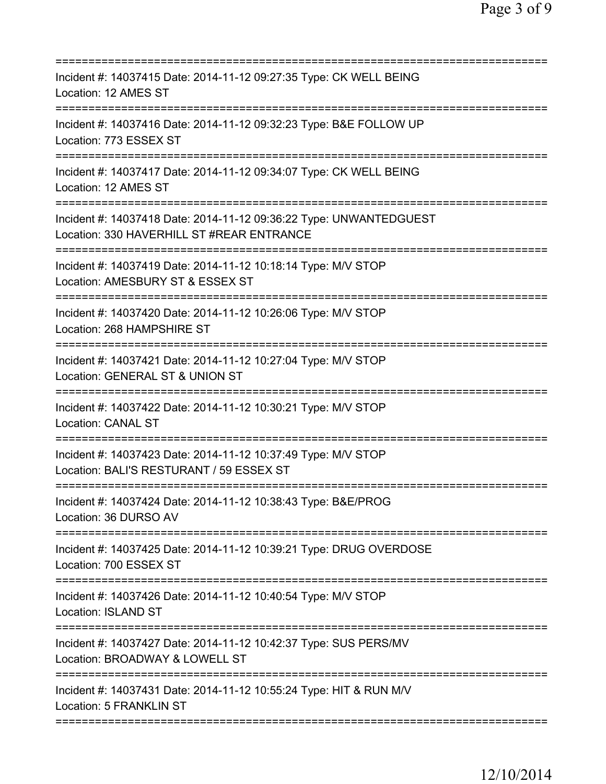| ===========================<br>:==================                                                                                               |
|--------------------------------------------------------------------------------------------------------------------------------------------------|
| Incident #: 14037415 Date: 2014-11-12 09:27:35 Type: CK WELL BEING<br>Location: 12 AMES ST                                                       |
| Incident #: 14037416 Date: 2014-11-12 09:32:23 Type: B&E FOLLOW UP<br>Location: 773 ESSEX ST                                                     |
| Incident #: 14037417 Date: 2014-11-12 09:34:07 Type: CK WELL BEING<br>Location: 12 AMES ST                                                       |
| Incident #: 14037418 Date: 2014-11-12 09:36:22 Type: UNWANTEDGUEST<br>Location: 330 HAVERHILL ST #REAR ENTRANCE                                  |
| Incident #: 14037419 Date: 2014-11-12 10:18:14 Type: M/V STOP<br>Location: AMESBURY ST & ESSEX ST                                                |
| ======================<br>Incident #: 14037420 Date: 2014-11-12 10:26:06 Type: M/V STOP<br>Location: 268 HAMPSHIRE ST<br>======================= |
| Incident #: 14037421 Date: 2014-11-12 10:27:04 Type: M/V STOP<br>Location: GENERAL ST & UNION ST<br>===========================                  |
| Incident #: 14037422 Date: 2014-11-12 10:30:21 Type: M/V STOP<br><b>Location: CANAL ST</b>                                                       |
| Incident #: 14037423 Date: 2014-11-12 10:37:49 Type: M/V STOP<br>Location: BALI'S RESTURANT / 59 ESSEX ST                                        |
| Incident #: 14037424 Date: 2014-11-12 10:38:43 Type: B&E/PROG<br>Location: 36 DURSO AV                                                           |
| =====================================<br>Incident #: 14037425 Date: 2014-11-12 10:39:21 Type: DRUG OVERDOSE<br>Location: 700 ESSEX ST            |
| Incident #: 14037426 Date: 2014-11-12 10:40:54 Type: M/V STOP<br><b>Location: ISLAND ST</b>                                                      |
| Incident #: 14037427 Date: 2014-11-12 10:42:37 Type: SUS PERS/MV<br>Location: BROADWAY & LOWELL ST                                               |
| Incident #: 14037431 Date: 2014-11-12 10:55:24 Type: HIT & RUN M/V<br>Location: 5 FRANKLIN ST                                                    |
|                                                                                                                                                  |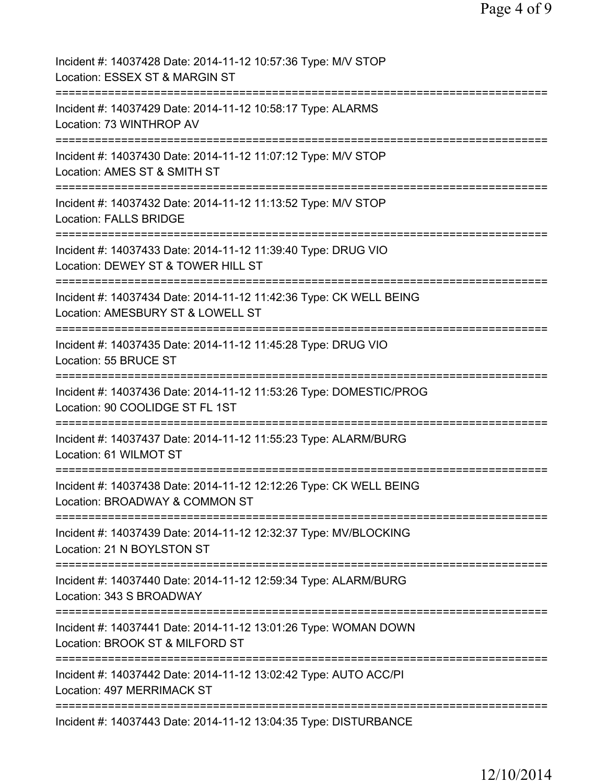| Incident #: 14037428 Date: 2014-11-12 10:57:36 Type: M/V STOP<br>Location: ESSEX ST & MARGIN ST                               |
|-------------------------------------------------------------------------------------------------------------------------------|
| Incident #: 14037429 Date: 2014-11-12 10:58:17 Type: ALARMS<br>Location: 73 WINTHROP AV                                       |
| Incident #: 14037430 Date: 2014-11-12 11:07:12 Type: M/V STOP<br>Location: AMES ST & SMITH ST                                 |
| Incident #: 14037432 Date: 2014-11-12 11:13:52 Type: M/V STOP<br><b>Location: FALLS BRIDGE</b>                                |
| Incident #: 14037433 Date: 2014-11-12 11:39:40 Type: DRUG VIO<br>Location: DEWEY ST & TOWER HILL ST                           |
| Incident #: 14037434 Date: 2014-11-12 11:42:36 Type: CK WELL BEING<br>Location: AMESBURY ST & LOWELL ST                       |
| Incident #: 14037435 Date: 2014-11-12 11:45:28 Type: DRUG VIO<br>Location: 55 BRUCE ST<br>=================                   |
| Incident #: 14037436 Date: 2014-11-12 11:53:26 Type: DOMESTIC/PROG<br>Location: 90 COOLIDGE ST FL 1ST                         |
| Incident #: 14037437 Date: 2014-11-12 11:55:23 Type: ALARM/BURG<br>Location: 61 WILMOT ST                                     |
| Incident #: 14037438 Date: 2014-11-12 12:12:26 Type: CK WELL BEING<br>Location: BROADWAY & COMMON ST                          |
| Incident #: 14037439 Date: 2014-11-12 12:32:37 Type: MV/BLOCKING<br>Location: 21 N BOYLSTON ST                                |
| ------------------------------<br>Incident #: 14037440 Date: 2014-11-12 12:59:34 Type: ALARM/BURG<br>Location: 343 S BROADWAY |
| Incident #: 14037441 Date: 2014-11-12 13:01:26 Type: WOMAN DOWN<br>Location: BROOK ST & MILFORD ST                            |
| Incident #: 14037442 Date: 2014-11-12 13:02:42 Type: AUTO ACC/PI<br>Location: 497 MERRIMACK ST                                |
| Incident #: 14037443 Date: 2014-11-12 13:04:35 Type: DISTURBANCE                                                              |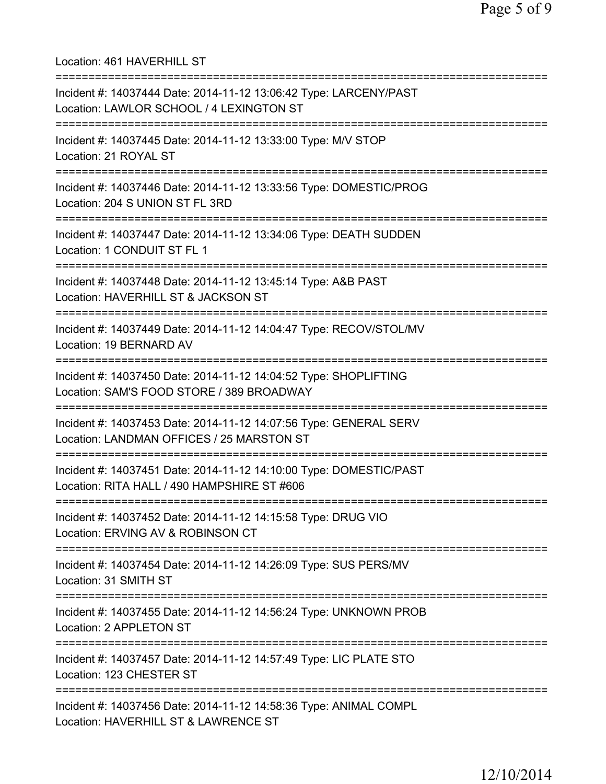Location: 461 HAVERHILL ST =========================================================================== Incident #: 14037444 Date: 2014-11-12 13:06:42 Type: LARCENY/PAST Location: LAWLOR SCHOOL / 4 LEXINGTON ST =========================================================================== Incident #: 14037445 Date: 2014-11-12 13:33:00 Type: M/V STOP Location: 21 ROYAL ST =========================================================================== Incident #: 14037446 Date: 2014-11-12 13:33:56 Type: DOMESTIC/PROG Location: 204 S UNION ST FL 3RD =========================================================================== Incident #: 14037447 Date: 2014-11-12 13:34:06 Type: DEATH SUDDEN Location: 1 CONDUIT ST FL 1 =========================================================================== Incident #: 14037448 Date: 2014-11-12 13:45:14 Type: A&B PAST Location: HAVERHILL ST & JACKSON ST =========================================================================== Incident #: 14037449 Date: 2014-11-12 14:04:47 Type: RECOV/STOL/MV Location: 19 BERNARD AV =========================================================================== Incident #: 14037450 Date: 2014-11-12 14:04:52 Type: SHOPLIFTING Location: SAM'S FOOD STORE / 389 BROADWAY =========================================================================== Incident #: 14037453 Date: 2014-11-12 14:07:56 Type: GENERAL SERV Location: LANDMAN OFFICES / 25 MARSTON ST =========================================================================== Incident #: 14037451 Date: 2014-11-12 14:10:00 Type: DOMESTIC/PAST Location: RITA HALL / 490 HAMPSHIRE ST #606 =========================================================================== Incident #: 14037452 Date: 2014-11-12 14:15:58 Type: DRUG VIO Location: ERVING AV & ROBINSON CT =========================================================================== Incident #: 14037454 Date: 2014-11-12 14:26:09 Type: SUS PERS/MV Location: 31 SMITH ST =========================================================================== Incident #: 14037455 Date: 2014-11-12 14:56:24 Type: UNKNOWN PROB Location: 2 APPLETON ST =========================================================================== Incident #: 14037457 Date: 2014-11-12 14:57:49 Type: LIC PLATE STO Location: 123 CHESTER ST =========================================================================== Incident #: 14037456 Date: 2014-11-12 14:58:36 Type: ANIMAL COMPL Location: HAVERHILL ST & LAWRENCE ST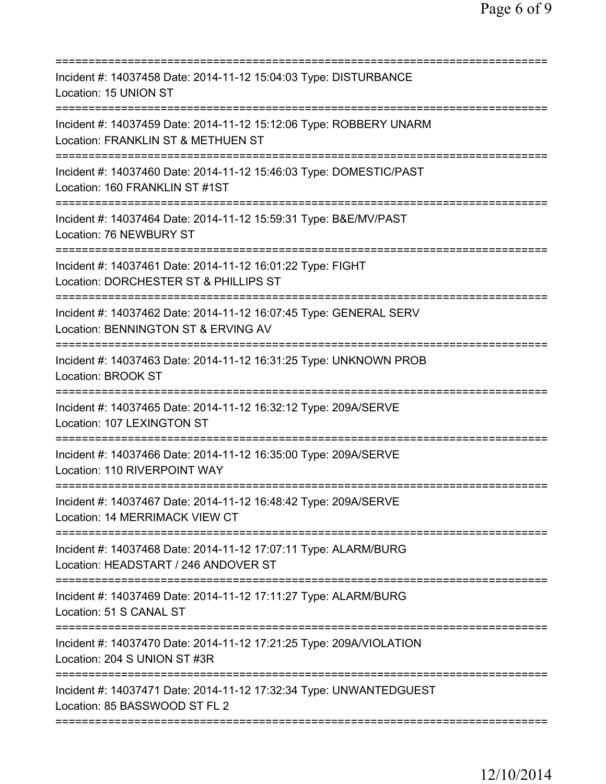| Incident #: 14037458 Date: 2014-11-12 15:04:03 Type: DISTURBANCE<br>Location: 15 UNION ST                                                |
|------------------------------------------------------------------------------------------------------------------------------------------|
| Incident #: 14037459 Date: 2014-11-12 15:12:06 Type: ROBBERY UNARM<br>Location: FRANKLIN ST & METHUEN ST                                 |
| Incident #: 14037460 Date: 2014-11-12 15:46:03 Type: DOMESTIC/PAST<br>Location: 160 FRANKLIN ST #1ST                                     |
| Incident #: 14037464 Date: 2014-11-12 15:59:31 Type: B&E/MV/PAST<br>Location: 76 NEWBURY ST                                              |
| Incident #: 14037461 Date: 2014-11-12 16:01:22 Type: FIGHT<br>Location: DORCHESTER ST & PHILLIPS ST                                      |
| Incident #: 14037462 Date: 2014-11-12 16:07:45 Type: GENERAL SERV<br>Location: BENNINGTON ST & ERVING AV<br>============================ |
| Incident #: 14037463 Date: 2014-11-12 16:31:25 Type: UNKNOWN PROB<br><b>Location: BROOK ST</b>                                           |
| Incident #: 14037465 Date: 2014-11-12 16:32:12 Type: 209A/SERVE<br>Location: 107 LEXINGTON ST                                            |
| Incident #: 14037466 Date: 2014-11-12 16:35:00 Type: 209A/SERVE<br>Location: 110 RIVERPOINT WAY                                          |
| Incident #: 14037467 Date: 2014-11-12 16:48:42 Type: 209A/SERVE<br>Location: 14 MERRIMACK VIEW CT                                        |
| Incident #: 14037468 Date: 2014-11-12 17:07:11 Type: ALARM/BURG<br>Location: HEADSTART / 246 ANDOVER ST                                  |
| Incident #: 14037469 Date: 2014-11-12 17:11:27 Type: ALARM/BURG<br>Location: 51 S CANAL ST                                               |
| Incident #: 14037470 Date: 2014-11-12 17:21:25 Type: 209A/VIOLATION<br>Location: 204 S UNION ST #3R                                      |
| Incident #: 14037471 Date: 2014-11-12 17:32:34 Type: UNWANTEDGUEST<br>Location: 85 BASSWOOD ST FL 2                                      |
|                                                                                                                                          |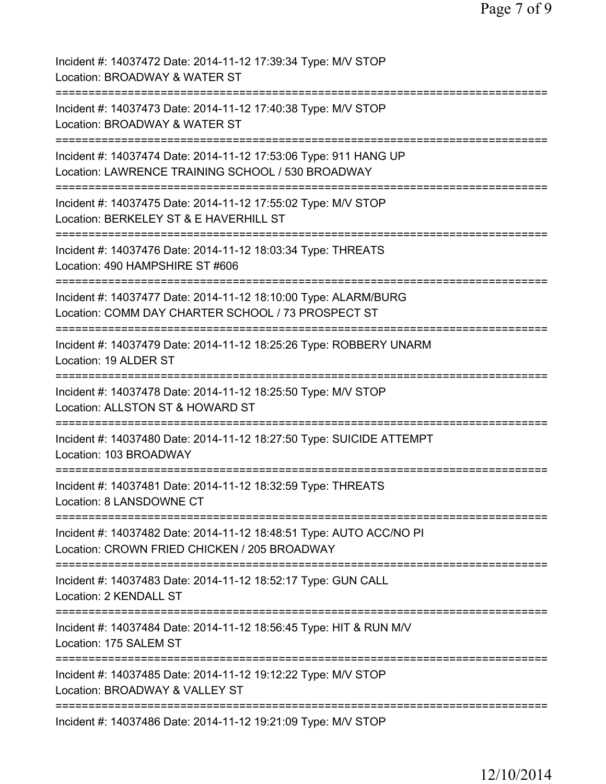| Incident #: 14037472 Date: 2014-11-12 17:39:34 Type: M/V STOP<br>Location: BROADWAY & WATER ST                                                     |
|----------------------------------------------------------------------------------------------------------------------------------------------------|
| Incident #: 14037473 Date: 2014-11-12 17:40:38 Type: M/V STOP<br>Location: BROADWAY & WATER ST                                                     |
| Incident #: 14037474 Date: 2014-11-12 17:53:06 Type: 911 HANG UP<br>Location: LAWRENCE TRAINING SCHOOL / 530 BROADWAY                              |
| Incident #: 14037475 Date: 2014-11-12 17:55:02 Type: M/V STOP<br>Location: BERKELEY ST & E HAVERHILL ST                                            |
| Incident #: 14037476 Date: 2014-11-12 18:03:34 Type: THREATS<br>Location: 490 HAMPSHIRE ST #606<br>:==========                                     |
| Incident #: 14037477 Date: 2014-11-12 18:10:00 Type: ALARM/BURG<br>Location: COMM DAY CHARTER SCHOOL / 73 PROSPECT ST                              |
| Incident #: 14037479 Date: 2014-11-12 18:25:26 Type: ROBBERY UNARM<br>Location: 19 ALDER ST<br>:=================================                  |
| Incident #: 14037478 Date: 2014-11-12 18:25:50 Type: M/V STOP<br>Location: ALLSTON ST & HOWARD ST<br>==============<br>=========================== |
| Incident #: 14037480 Date: 2014-11-12 18:27:50 Type: SUICIDE ATTEMPT<br>Location: 103 BROADWAY                                                     |
| Incident #: 14037481 Date: 2014-11-12 18:32:59 Type: THREATS<br>Location: 8 LANSDOWNE CT                                                           |
| Incident #: 14037482 Date: 2014-11-12 18:48:51 Type: AUTO ACC/NO PI<br>Location: CROWN FRIED CHICKEN / 205 BROADWAY                                |
| Incident #: 14037483 Date: 2014-11-12 18:52:17 Type: GUN CALL<br>Location: 2 KENDALL ST                                                            |
| Incident #: 14037484 Date: 2014-11-12 18:56:45 Type: HIT & RUN M/V<br>Location: 175 SALEM ST                                                       |
| Incident #: 14037485 Date: 2014-11-12 19:12:22 Type: M/V STOP<br>Location: BROADWAY & VALLEY ST                                                    |
| Incident #: 14037486 Date: 2014-11-12 19:21:09 Type: M/V STOP                                                                                      |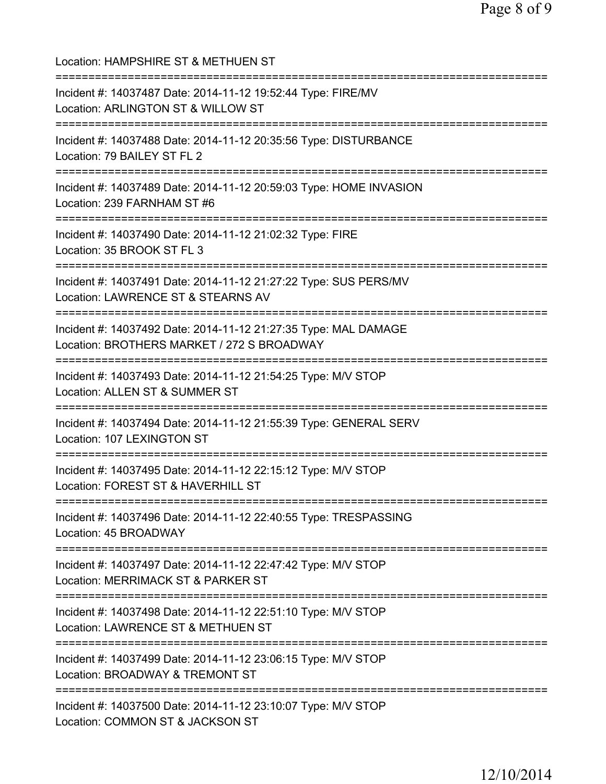Location: HAMPSHIRE ST & METHUEN ST =========================================================================== Incident #: 14037487 Date: 2014-11-12 19:52:44 Type: FIRE/MV Location: ARLINGTON ST & WILLOW ST =========================================================================== Incident #: 14037488 Date: 2014-11-12 20:35:56 Type: DISTURBANCE Location: 79 BAILEY ST FL 2 =========================================================================== Incident #: 14037489 Date: 2014-11-12 20:59:03 Type: HOME INVASION Location: 239 FARNHAM ST #6 =========================================================================== Incident #: 14037490 Date: 2014-11-12 21:02:32 Type: FIRE Location: 35 BROOK ST FL 3 =========================================================================== Incident #: 14037491 Date: 2014-11-12 21:27:22 Type: SUS PERS/MV Location: LAWRENCE ST & STEARNS AV =========================================================================== Incident #: 14037492 Date: 2014-11-12 21:27:35 Type: MAL DAMAGE Location: BROTHERS MARKET / 272 S BROADWAY =========================================================================== Incident #: 14037493 Date: 2014-11-12 21:54:25 Type: M/V STOP Location: ALLEN ST & SUMMER ST =========================================================================== Incident #: 14037494 Date: 2014-11-12 21:55:39 Type: GENERAL SERV Location: 107 LEXINGTON ST =========================================================================== Incident #: 14037495 Date: 2014-11-12 22:15:12 Type: M/V STOP Location: FOREST ST & HAVERHILL ST =========================================================================== Incident #: 14037496 Date: 2014-11-12 22:40:55 Type: TRESPASSING Location: 45 BROADWAY =========================================================================== Incident #: 14037497 Date: 2014-11-12 22:47:42 Type: M/V STOP Location: MERRIMACK ST & PARKER ST =========================================================================== Incident #: 14037498 Date: 2014-11-12 22:51:10 Type: M/V STOP Location: LAWRENCE ST & METHUEN ST =========================================================================== Incident #: 14037499 Date: 2014-11-12 23:06:15 Type: M/V STOP Location: BROADWAY & TREMONT ST =========================================================================== Incident #: 14037500 Date: 2014-11-12 23:10:07 Type: M/V STOP Location: COMMON ST & JACKSON ST